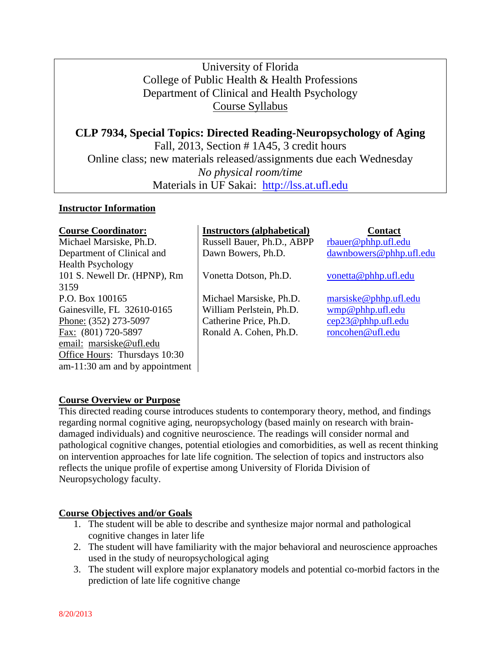# University of Florida College of Public Health & Health Professions Department of Clinical and Health Psychology Course Syllabus

**CLP 7934, Special Topics: Directed Reading-Neuropsychology of Aging** Fall, 2013, Section # 1A45, 3 credit hours Online class; new materials released/assignments due each Wednesday *No physical room/time* Materials in UF Sakai: [http://lss.at.ufl.edu](http://lss.at.ufl.edu/)

### **Instructor Information**

| <b>Course Coordinator:</b>       | <b>Instructors (alphabetical)</b> | <b>Contact</b>          |
|----------------------------------|-----------------------------------|-------------------------|
| Michael Marsiske, Ph.D.          | Russell Bauer, Ph.D., ABPP        | rbauer@phhp.ufl.edu     |
| Department of Clinical and       | Dawn Bowers, Ph.D.                | dawnbowers@phhp.ufl.edu |
| <b>Health Psychology</b>         |                                   |                         |
| 101 S. Newell Dr. (HPNP), Rm     | Vonetta Dotson, Ph.D.             | vonetta@phhp.ufl.edu    |
| 3159                             |                                   |                         |
| P.O. Box 100165                  | Michael Marsiske, Ph.D.           | maxiske@phhp.ufl.edu    |
| Gainesville, FL 32610-0165       | William Perlstein, Ph.D.          | wmp@phhp.ufl.edu        |
| Phone: (352) 273-5097            | Catherine Price, Ph.D.            | cep23@phhp.ufl.edu      |
| Fax: (801) 720-5897              | Ronald A. Cohen, Ph.D.            | roncohen@ufl.edu        |
| email: marsiske@ufl.edu          |                                   |                         |
| Office Hours: Thursdays 10:30    |                                   |                         |
| $am-11:30$ am and by appointment |                                   |                         |

## **Course Overview or Purpose**

This directed reading course introduces students to contemporary theory, method, and findings regarding normal cognitive aging, neuropsychology (based mainly on research with braindamaged individuals) and cognitive neuroscience. The readings will consider normal and pathological cognitive changes, potential etiologies and comorbidities, as well as recent thinking on intervention approaches for late life cognition. The selection of topics and instructors also reflects the unique profile of expertise among University of Florida Division of Neuropsychology faculty.

## **Course Objectives and/or Goals**

- 1. The student will be able to describe and synthesize major normal and pathological cognitive changes in later life
- 2. The student will have familiarity with the major behavioral and neuroscience approaches used in the study of neuropsychological aging
- 3. The student will explore major explanatory models and potential co-morbid factors in the prediction of late life cognitive change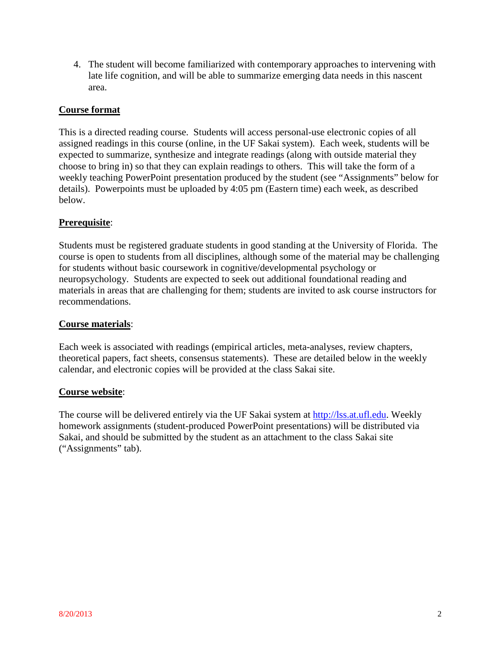4. The student will become familiarized with contemporary approaches to intervening with late life cognition, and will be able to summarize emerging data needs in this nascent area.

### **Course format**

This is a directed reading course. Students will access personal-use electronic copies of all assigned readings in this course (online, in the UF Sakai system). Each week, students will be expected to summarize, synthesize and integrate readings (along with outside material they choose to bring in) so that they can explain readings to others. This will take the form of a weekly teaching PowerPoint presentation produced by the student (see "Assignments" below for details). Powerpoints must be uploaded by 4:05 pm (Eastern time) each week, as described below.

### **Prerequisite**:

Students must be registered graduate students in good standing at the University of Florida. The course is open to students from all disciplines, although some of the material may be challenging for students without basic coursework in cognitive/developmental psychology or neuropsychology. Students are expected to seek out additional foundational reading and materials in areas that are challenging for them; students are invited to ask course instructors for recommendations.

#### **Course materials**:

Each week is associated with readings (empirical articles, meta-analyses, review chapters, theoretical papers, fact sheets, consensus statements). These are detailed below in the weekly calendar, and electronic copies will be provided at the class Sakai site.

#### **Course website**:

The course will be delivered entirely via the UF Sakai system at [http://lss.at.ufl.edu.](http://lss.at.ufl.edu/) Weekly homework assignments (student-produced PowerPoint presentations) will be distributed via Sakai, and should be submitted by the student as an attachment to the class Sakai site ("Assignments" tab).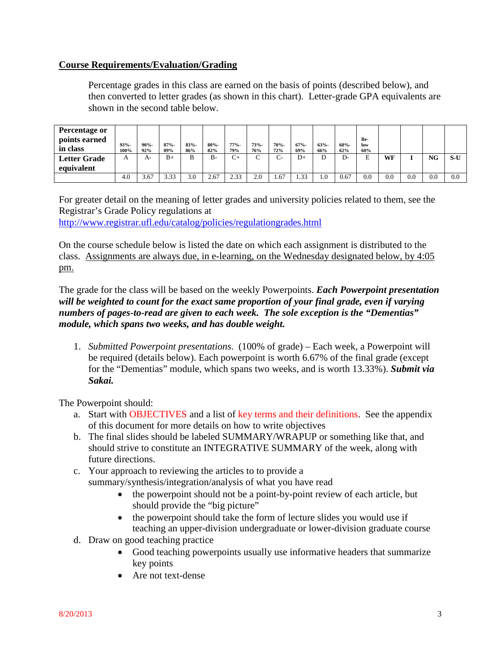### **Course Requirements/Evaluation/Grading**

Percentage grades in this class are earned on the basis of points (described below), and then converted to letter grades (as shown in this chart). Letter-grade GPA equivalents are shown in the second table below.

| <b>Percentage or</b><br>points earned<br>in class | $93% -$<br>100% | $90% -$<br>92% | $87% -$<br>89% | $83% -$<br>86% | $80% -$<br>82% | $77% -$<br>79% | $73% -$<br>76% | 70%-<br>72% | $67% -$<br>69% | $63% -$<br>66% | $60% -$<br>62% | Be-<br>low<br>60% |     |     |     |     |
|---------------------------------------------------|-----------------|----------------|----------------|----------------|----------------|----------------|----------------|-------------|----------------|----------------|----------------|-------------------|-----|-----|-----|-----|
| <b>Letter Grade</b>                               |                 | A-             | $B+$           | B              | $B -$          | $\sim$<br>◡    |                | C-          | D+             |                | D-             | F                 | WF  |     | NG  | S-U |
| equivalent                                        |                 |                |                |                |                |                |                |             |                |                |                |                   |     |     |     |     |
|                                                   | 4.0             | 3.67           | 3.33           | 3.0            | 2.67           | 2.33           | 2.0            | 1.67        | 33<br>ے بی     | 0.1            | 0.67           | 0.0               | 0.0 | 0.0 | 0.0 | 0.0 |

For greater detail on the meaning of letter grades and university policies related to them, see the Registrar's Grade Policy regulations at <http://www.registrar.ufl.edu/catalog/policies/regulationgrades.html>

On the course schedule below is listed the date on which each assignment is distributed to the class. Assignments are always due, in e-learning, on the Wednesday designated below, by 4:05 pm.

The grade for the class will be based on the weekly Powerpoints. *Each Powerpoint presentation will be weighted to count for the exact same proportion of your final grade, even if varying numbers of pages-to-read are given to each week. The sole exception is the "Dementias" module, which spans two weeks, and has double weight.*

1. *Submitted Powerpoint presentations*. (100% of grade) – Each week, a Powerpoint will be required (details below). Each powerpoint is worth 6.67% of the final grade (except for the "Dementias" module, which spans two weeks, and is worth 13.33%). *Submit via Sakai.*

The Powerpoint should:

- a. Start with OBJECTIVES and a list of key terms and their definitions. See the appendix of this document for more details on how to write objectives
- b. The final slides should be labeled SUMMARY/WRAPUP or something like that, and should strive to constitute an INTEGRATIVE SUMMARY of the week, along with future directions.
- c. Your approach to reviewing the articles to to provide a summary/synthesis/integration/analysis of what you have read
	- the powerpoint should not be a point-by-point review of each article, but should provide the "big picture"
	- the powerpoint should take the form of lecture slides you would use if teaching an upper-division undergraduate or lower-division graduate course
- d. Draw on good teaching practice
	- Good teaching powerpoints usually use informative headers that summarize key points
	- Are not text-dense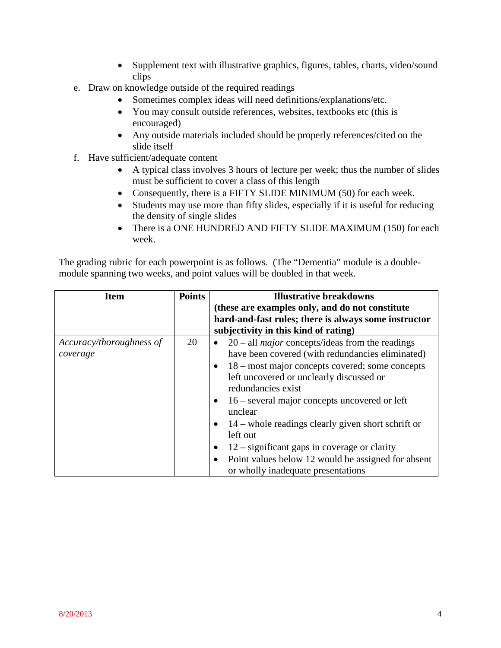- Supplement text with illustrative graphics, figures, tables, charts, video/sound clips
- e. Draw on knowledge outside of the required readings
	- Sometimes complex ideas will need definitions/explanations/etc.
	- You may consult outside references, websites, textbooks etc (this is encouraged)
	- Any outside materials included should be properly references/cited on the slide itself
- f. Have sufficient/adequate content
	- A typical class involves 3 hours of lecture per week; thus the number of slides must be sufficient to cover a class of this length
	- Consequently, there is a FIFTY SLIDE MINIMUM (50) for each week.
	- Students may use more than fifty slides, especially if it is useful for reducing the density of single slides
	- There is a ONE HUNDRED AND FIFTY SLIDE MAXIMUM (150) for each week.

The grading rubric for each powerpoint is as follows. (The "Dementia" module is a doublemodule spanning two weeks, and point values will be doubled in that week.

| Item                                 | <b>Points</b> | <b>Illustrative breakdowns</b>                                                                                                                                                                                                                                                                                                                                                                                                                                                 |
|--------------------------------------|---------------|--------------------------------------------------------------------------------------------------------------------------------------------------------------------------------------------------------------------------------------------------------------------------------------------------------------------------------------------------------------------------------------------------------------------------------------------------------------------------------|
|                                      |               | (these are examples only, and do not constitute)                                                                                                                                                                                                                                                                                                                                                                                                                               |
|                                      |               | hard-and-fast rules; there is always some instructor                                                                                                                                                                                                                                                                                                                                                                                                                           |
|                                      |               | subjectivity in this kind of rating)                                                                                                                                                                                                                                                                                                                                                                                                                                           |
| Accuracy/thoroughness of<br>coverage | 20            | $20$ – all <i>major</i> concepts/ideas from the readings<br>$\bullet$<br>have been covered (with redundancies eliminated)<br>18 – most major concepts covered; some concepts<br>$\bullet$<br>left uncovered or unclearly discussed or<br>redundancies exist<br>$16$ – several major concepts uncovered or left<br>$\bullet$<br>unclear<br>$14$ – whole readings clearly given short schrift or<br>$\bullet$<br>left out<br>$12$ – significant gaps in coverage or clarity<br>٠ |
|                                      |               | Point values below 12 would be assigned for absent<br>$\bullet$<br>or wholly inadequate presentations                                                                                                                                                                                                                                                                                                                                                                          |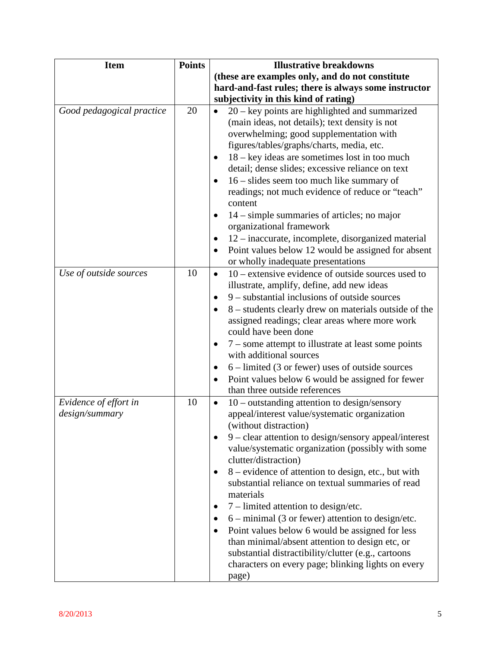| <b>Item</b>                             | <b>Points</b> | <b>Illustrative breakdowns</b>                                                                                                                                                                                                                                                                                                                                                                                                                                                                                                                                                                                                                                                                                                                                                                            |
|-----------------------------------------|---------------|-----------------------------------------------------------------------------------------------------------------------------------------------------------------------------------------------------------------------------------------------------------------------------------------------------------------------------------------------------------------------------------------------------------------------------------------------------------------------------------------------------------------------------------------------------------------------------------------------------------------------------------------------------------------------------------------------------------------------------------------------------------------------------------------------------------|
|                                         |               | (these are examples only, and do not constitute                                                                                                                                                                                                                                                                                                                                                                                                                                                                                                                                                                                                                                                                                                                                                           |
|                                         |               | hard-and-fast rules; there is always some instructor                                                                                                                                                                                                                                                                                                                                                                                                                                                                                                                                                                                                                                                                                                                                                      |
|                                         |               | subjectivity in this kind of rating)                                                                                                                                                                                                                                                                                                                                                                                                                                                                                                                                                                                                                                                                                                                                                                      |
| Good pedagogical practice               | 20            | $20 - \text{key}$ points are highlighted and summarized<br>$\bullet$<br>(main ideas, not details); text density is not<br>overwhelming; good supplementation with<br>figures/tables/graphs/charts, media, etc.<br>$18 - \text{key}$ ideas are sometimes lost in too much<br>detail; dense slides; excessive reliance on text<br>$16$ – slides seem too much like summary of<br>$\bullet$<br>readings; not much evidence of reduce or "teach"<br>content<br>$14$ – simple summaries of articles; no major<br>organizational framework<br>12 – inaccurate, incomplete, disorganized material<br>$\bullet$<br>Point values below 12 would be assigned for absent<br>$\bullet$<br>or wholly inadequate presentations                                                                                          |
| Use of outside sources                  | 10            | $10$ – extensive evidence of outside sources used to<br>$\bullet$<br>illustrate, amplify, define, add new ideas<br>$9$ – substantial inclusions of outside sources<br>$\bullet$<br>8 – students clearly drew on materials outside of the<br>assigned readings; clear areas where more work<br>could have been done<br>7 – some attempt to illustrate at least some points<br>$\bullet$<br>with additional sources<br>$6$ – limited (3 or fewer) uses of outside sources<br>$\bullet$<br>Point values below 6 would be assigned for fewer<br>$\bullet$<br>than three outside references                                                                                                                                                                                                                    |
| Evidence of effort in<br>design/summary | 10            | $10$ – outstanding attention to design/sensory<br>$\bullet$<br>appeal/interest value/systematic organization<br>(without distraction)<br>9 - clear attention to design/sensory appeal/interest<br>$\bullet$<br>value/systematic organization (possibly with some<br>clutter/distraction)<br>8 – evidence of attention to design, etc., but with<br>$\bullet$<br>substantial reliance on textual summaries of read<br>materials<br>$7$ – limited attention to design/etc.<br>$\bullet$<br>$6 - \text{minimal}$ (3 or fewer) attention to design/etc.<br>$\bullet$<br>Point values below 6 would be assigned for less<br>$\bullet$<br>than minimal/absent attention to design etc, or<br>substantial distractibility/clutter (e.g., cartoons<br>characters on every page; blinking lights on every<br>page) |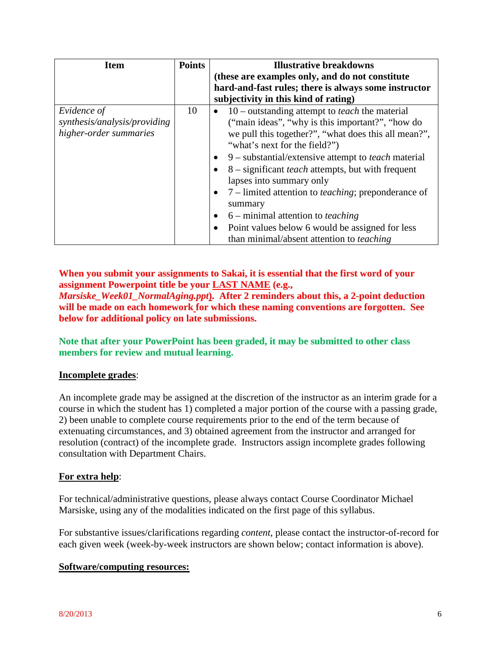| <b>Item</b>                                                           | <b>Points</b> | <b>Illustrative breakdowns</b>                                                                                                                                                   |
|-----------------------------------------------------------------------|---------------|----------------------------------------------------------------------------------------------------------------------------------------------------------------------------------|
|                                                                       |               | (these are examples only, and do not constitute                                                                                                                                  |
|                                                                       |               | hard-and-fast rules; there is always some instructor                                                                                                                             |
|                                                                       |               | subjectivity in this kind of rating)                                                                                                                                             |
| Evidence of<br>synthesis/analysis/providing<br>higher-order summaries | 10            | $10$ – outstanding attempt to <i>teach</i> the material<br>$\bullet$<br>("main ideas", "why is this important?", "how do<br>we pull this together?", "what does this all mean?", |
|                                                                       |               | "what's next for the field?")                                                                                                                                                    |
|                                                                       |               | 9 – substantial/extensive attempt to <i>teach</i> material<br>$\bullet$                                                                                                          |
|                                                                       |               | 8 – significant <i>teach</i> attempts, but with frequent<br>$\bullet$<br>lapses into summary only                                                                                |
|                                                                       |               | 7 – limited attention to <i>teaching</i> ; preponderance of<br>$\bullet$<br>summary                                                                                              |
|                                                                       |               | $6$ – minimal attention to <i>teaching</i><br>$\bullet$                                                                                                                          |
|                                                                       |               | Point values below 6 would be assigned for less<br>$\bullet$<br>than minimal/absent attention to <i>teaching</i>                                                                 |

## **When you submit your assignments to Sakai, it is essential that the first word of your assignment Powerpoint title be your LAST NAME (e.g.,**

*Marsiske\_Week01\_NormalAging.ppt***). After 2 reminders about this, a 2-point deduction will be made on each homework for which these naming conventions are forgotten. See below for additional policy on late submissions.**

**Note that after your PowerPoint has been graded, it may be submitted to other class members for review and mutual learning.**

## **Incomplete grades**:

An incomplete grade may be assigned at the discretion of the instructor as an interim grade for a course in which the student has 1) completed a major portion of the course with a passing grade, 2) been unable to complete course requirements prior to the end of the term because of extenuating circumstances, and 3) obtained agreement from the instructor and arranged for resolution (contract) of the incomplete grade. Instructors assign incomplete grades following consultation with Department Chairs.

#### **For extra help**:

For technical/administrative questions, please always contact Course Coordinator Michael Marsiske, using any of the modalities indicated on the first page of this syllabus.

For substantive issues/clarifications regarding *content*, please contact the instructor-of-record for each given week (week-by-week instructors are shown below; contact information is above).

#### **Software/computing resources:**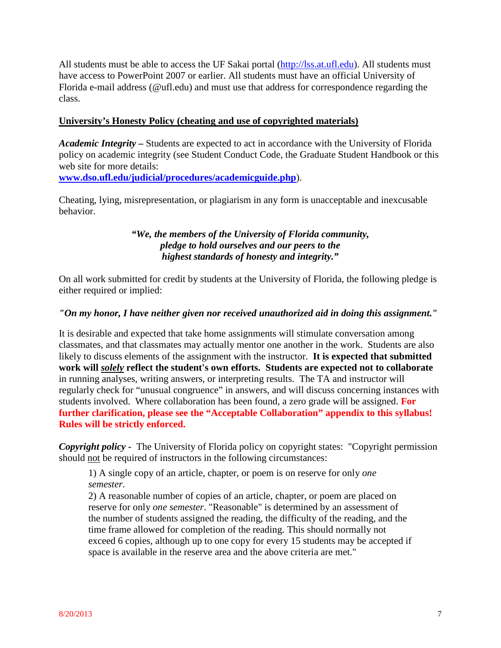All students must be able to access the UF Sakai portal [\(http://lss.at.ufl.edu\)](http://lss.at.ufl.edu/). All students must have access to PowerPoint 2007 or earlier. All students must have an official University of Florida e-mail address (@ufl.edu) and must use that address for correspondence regarding the class.

#### **University's Honesty Policy (cheating and use of copyrighted materials)**

*Academic Integrity –* Students are expected to act in accordance with the University of Florida policy on academic integrity (see Student Conduct Code, the Graduate Student Handbook or this web site for more details:

**[www.dso.ufl.edu/judicial/procedures/academicguide.php](http://www.dso.ufl.edu/judicial/procedures/academicguide.php)**).

Cheating, lying, misrepresentation, or plagiarism in any form is unacceptable and inexcusable behavior.

## *"We, the members of the University of Florida community, pledge to hold ourselves and our peers to the highest standards of honesty and integrity."*

On all work submitted for credit by students at the University of Florida, the following pledge is either required or implied:

### *"On my honor, I have neither given nor received unauthorized aid in doing this assignment."*

It is desirable and expected that take home assignments will stimulate conversation among classmates, and that classmates may actually mentor one another in the work. Students are also likely to discuss elements of the assignment with the instructor. **It is expected that submitted work will** *solely* **reflect the student's own efforts. Students are expected not to collaborate** in running analyses, writing answers, or interpreting results. The TA and instructor will regularly check for "unusual congruence" in answers, and will discuss concerning instances with students involved. Where collaboration has been found, a zero grade will be assigned. **For further clarification, please see the "Acceptable Collaboration" appendix to this syllabus! Rules will be strictly enforced.**

*Copyright policy -* The University of Florida policy on copyright states: "Copyright permission should not be required of instructors in the following circumstances:

1) A single copy of an article, chapter, or poem is on reserve for only *one semester*.

2) A reasonable number of copies of an article, chapter, or poem are placed on reserve for only *one semester*. "Reasonable" is determined by an assessment of the number of students assigned the reading, the difficulty of the reading, and the time frame allowed for completion of the reading. This should normally not exceed 6 copies, although up to one copy for every 15 students may be accepted if space is available in the reserve area and the above criteria are met."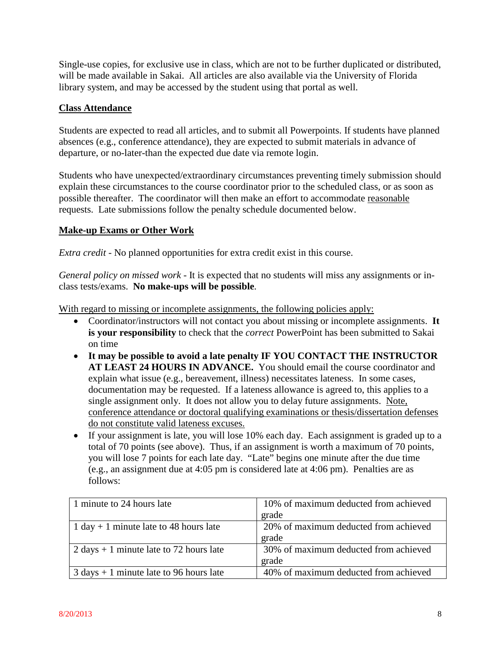Single-use copies, for exclusive use in class, which are not to be further duplicated or distributed, will be made available in Sakai. All articles are also available via the University of Florida library system, and may be accessed by the student using that portal as well.

### **Class Attendance**

Students are expected to read all articles, and to submit all Powerpoints. If students have planned absences (e.g., conference attendance), they are expected to submit materials in advance of departure, or no-later-than the expected due date via remote login.

Students who have unexpected/extraordinary circumstances preventing timely submission should explain these circumstances to the course coordinator prior to the scheduled class, or as soon as possible thereafter. The coordinator will then make an effort to accommodate reasonable requests. Late submissions follow the penalty schedule documented below.

### **Make-up Exams or Other Work**

*Extra credit* - No planned opportunities for extra credit exist in this course.

*General policy on missed work* - It is expected that no students will miss any assignments or inclass tests/exams. **No make-ups will be possible**.

With regard to missing or incomplete assignments, the following policies apply:

- Coordinator/instructors will not contact you about missing or incomplete assignments. **It is your responsibility** to check that the *correct* PowerPoint has been submitted to Sakai on time
- **It may be possible to avoid a late penalty IF YOU CONTACT THE INSTRUCTOR AT LEAST 24 HOURS IN ADVANCE.** You should email the course coordinator and explain what issue (e.g., bereavement, illness) necessitates lateness. In some cases, documentation may be requested. If a lateness allowance is agreed to, this applies to a single assignment only. It does not allow you to delay future assignments. Note, conference attendance or doctoral qualifying examinations or thesis/dissertation defenses do not constitute valid lateness excuses.
- If your assignment is late, you will lose 10% each day. Each assignment is graded up to a total of 70 points (see above). Thus, if an assignment is worth a maximum of 70 points, you will lose 7 points for each late day. "Late" begins one minute after the due time (e.g., an assignment due at 4:05 pm is considered late at 4:06 pm). Penalties are as follows:

| 1 minute to 24 hours late                                 | 10% of maximum deducted from achieved |
|-----------------------------------------------------------|---------------------------------------|
|                                                           | grade                                 |
| 1 day + 1 minute late to 48 hours late                    | 20% of maximum deducted from achieved |
|                                                           | grade                                 |
| 2 days $+ 1$ minute late to 72 hours late                 | 30% of maximum deducted from achieved |
|                                                           | grade                                 |
| $3 \text{ days} + 1 \text{ minute}$ late to 96 hours late | 40% of maximum deducted from achieved |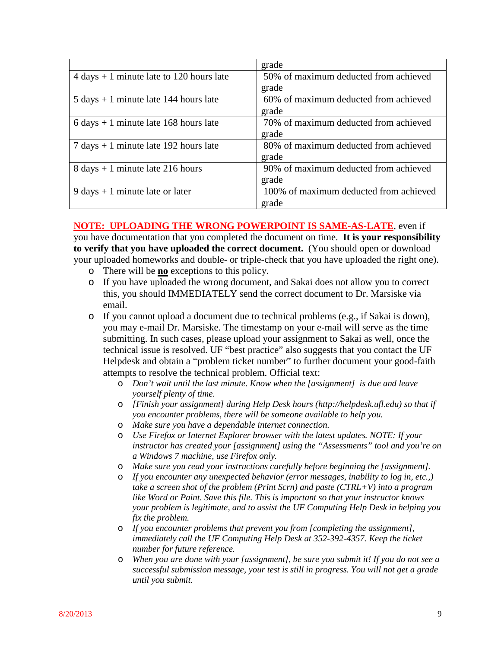|                                                            | grade                                  |
|------------------------------------------------------------|----------------------------------------|
| $4 \text{ days} + 1 \text{ minute}$ late to 120 hours late | 50% of maximum deducted from achieved  |
|                                                            | grade                                  |
| $5 \text{ days} + 1 \text{ minute}$ late 144 hours late    | 60% of maximum deducted from achieved  |
|                                                            | grade                                  |
| $6 \text{ days} + 1 \text{ minute}$ late 168 hours late    | 70% of maximum deducted from achieved  |
|                                                            | grade                                  |
| $7 \text{ days} + 1 \text{ minute}$ late 192 hours late    | 80% of maximum deducted from achieved  |
|                                                            | grade                                  |
| $8 \text{ days} + 1 \text{ minute}$ late 216 hours         | 90% of maximum deducted from achieved  |
|                                                            | grade                                  |
| $9 \text{ days} + 1 \text{ minute}$ late or later          | 100% of maximum deducted from achieved |
|                                                            | grade                                  |

## **NOTE: UPLOADING THE WRONG POWERPOINT IS SAME-AS-LATE**, even if

you have documentation that you completed the document on time. **It is your responsibility to verify that you have uploaded the correct document.** (You should open or download your uploaded homeworks and double- or triple-check that you have uploaded the right one).

- o There will be **no** exceptions to this policy.
- o If you have uploaded the wrong document, and Sakai does not allow you to correct this, you should IMMEDIATELY send the correct document to Dr. Marsiske via email.
- o If you cannot upload a document due to technical problems (e.g., if Sakai is down), you may e-mail Dr. Marsiske. The timestamp on your e-mail will serve as the time submitting. In such cases, please upload your assignment to Sakai as well, once the technical issue is resolved. UF "best practice" also suggests that you contact the UF Helpdesk and obtain a "problem ticket number" to further document your good-faith attempts to resolve the technical problem. Official text:
	- o *Don't wait until the last minute. Know when the [assignment] is due and leave yourself plenty of time.*
	- o *[Finish your assignment] during Help Desk hours (http://helpdesk.ufl.edu) so that if you encounter problems, there will be someone available to help you.*
	- o *Make sure you have a dependable internet connection.*
	- o *Use Firefox or Internet Explorer browser with the latest updates. NOTE: If your instructor has created your [assignment] using the "Assessments" tool and you're on a Windows 7 machine, use Firefox only.*
	- o *Make sure you read your instructions carefully before beginning the [assignment].*
	- o *If you encounter any unexpected behavior (error messages, inability to log in, etc.,) take a screen shot of the problem (Print Scrn) and paste (CTRL+V) into a program like Word or Paint. Save this file. This is important so that your instructor knows your problem is legitimate, and to assist the UF Computing Help Desk in helping you fix the problem.*
	- o *If you encounter problems that prevent you from [completing the assignment], immediately call the UF Computing Help Desk at 352-392-4357. Keep the ticket number for future reference.*
	- o *When you are done with your [assignment], be sure you submit it! If you do not see a successful submission message, your test is still in progress. You will not get a grade until you submit.*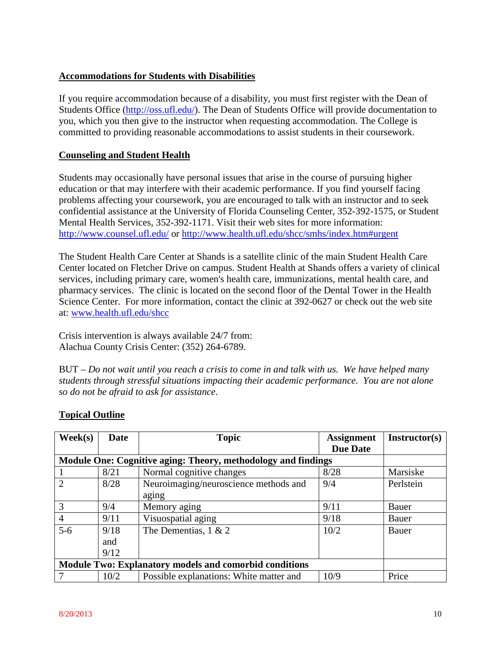## **Accommodations for Students with Disabilities**

If you require accommodation because of a disability, you must first register with the Dean of Students Office [\(http://oss.ufl.edu/\)](http://oss.ufl.edu/). The Dean of Students Office will provide documentation to you, which you then give to the instructor when requesting accommodation. The College is committed to providing reasonable accommodations to assist students in their coursework.

### **Counseling and Student Health**

Students may occasionally have personal issues that arise in the course of pursuing higher education or that may interfere with their academic performance. If you find yourself facing problems affecting your coursework, you are encouraged to talk with an instructor and to seek confidential assistance at the University of Florida Counseling Center, 352-392-1575, or Student Mental Health Services, 352-392-1171. Visit their web sites for more information: <http://www.counsel.ufl.edu/> or<http://www.health.ufl.edu/shcc/smhs/index.htm#urgent>

The Student Health Care Center at Shands is a satellite clinic of the main Student Health Care Center located on Fletcher Drive on campus. Student Health at Shands offers a variety of clinical services, including primary care, women's health care, immunizations, mental health care, and pharmacy services. The clinic is located on the second floor of the Dental Tower in the Health Science Center. For more information, contact the clinic at 392-0627 or check out the web site at: [www.health.ufl.edu/shcc](http://www.health.ufl.edu/shcc)

Crisis intervention is always available 24/7 from: Alachua County Crisis Center: (352) 264-6789.

BUT – *Do not wait until you reach a crisis to come in and talk with us. We have helped many students through stressful situations impacting their academic performance. You are not alone so do not be afraid to ask for assistance*.

| $\textbf{Week}(s)$ | Date | <b>Topic</b>                                                  | <b>Assignment</b> | Instructor(s) |
|--------------------|------|---------------------------------------------------------------|-------------------|---------------|
|                    |      |                                                               | <b>Due Date</b>   |               |
|                    |      | Module One: Cognitive aging: Theory, methodology and findings |                   |               |
|                    | 8/21 | Normal cognitive changes                                      | 8/28              | Marsiske      |
|                    | 8/28 | Neuroimaging/neuroscience methods and                         | 9/4               | Perlstein     |
|                    |      | aging                                                         |                   |               |
| 3                  | 9/4  | Memory aging                                                  | 9/11              | Bauer         |
| $\overline{4}$     | 9/11 | Visuospatial aging                                            | 9/18              | Bauer         |
| $5-6$              | 9/18 | The Dementias, $1 \& 2$                                       | 10/2              | Bauer         |
|                    | and  |                                                               |                   |               |
|                    | 9/12 |                                                               |                   |               |
|                    |      | Module Two: Explanatory models and comorbid conditions        |                   |               |
|                    | 10/2 | Possible explanations: White matter and                       | 10/9              | Price         |

## **Topical Outline**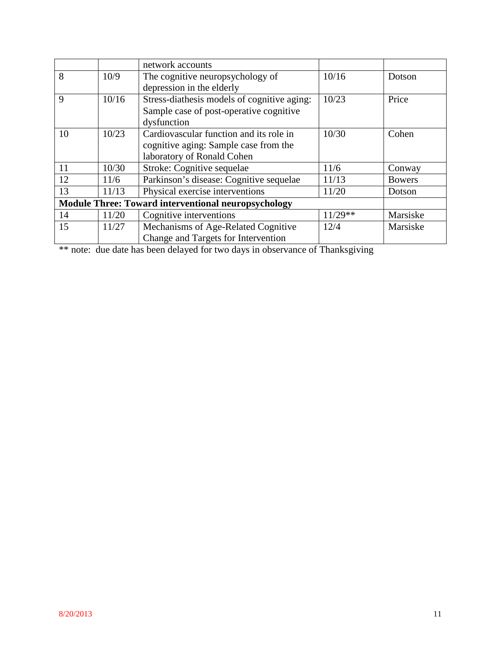|    |       | network accounts                                           |           |               |
|----|-------|------------------------------------------------------------|-----------|---------------|
| 8  | 10/9  | The cognitive neuropsychology of                           | 10/16     | Dotson        |
|    |       | depression in the elderly                                  |           |               |
| 9  | 10/16 | Stress-diathesis models of cognitive aging:                | 10/23     | Price         |
|    |       | Sample case of post-operative cognitive                    |           |               |
|    |       | dysfunction                                                |           |               |
| 10 | 10/23 | Cardiovascular function and its role in                    | 10/30     | Cohen         |
|    |       | cognitive aging: Sample case from the                      |           |               |
|    |       | laboratory of Ronald Cohen                                 |           |               |
| 11 | 10/30 | Stroke: Cognitive sequelae                                 | 11/6      | Conway        |
| 12 | 11/6  | Parkinson's disease: Cognitive sequelae                    | 11/13     | <b>Bowers</b> |
| 13 | 11/13 | Physical exercise interventions                            | 11/20     | Dotson        |
|    |       | <b>Module Three: Toward interventional neuropsychology</b> |           |               |
| 14 | 11/20 | Cognitive interventions                                    | $11/29**$ | Marsiske      |
| 15 | 11/27 | Mechanisms of Age-Related Cognitive                        | 12/4      | Marsiske      |
|    |       | Change and Targets for Intervention                        |           |               |

\*\* note: due date has been delayed for two days in observance of Thanksgiving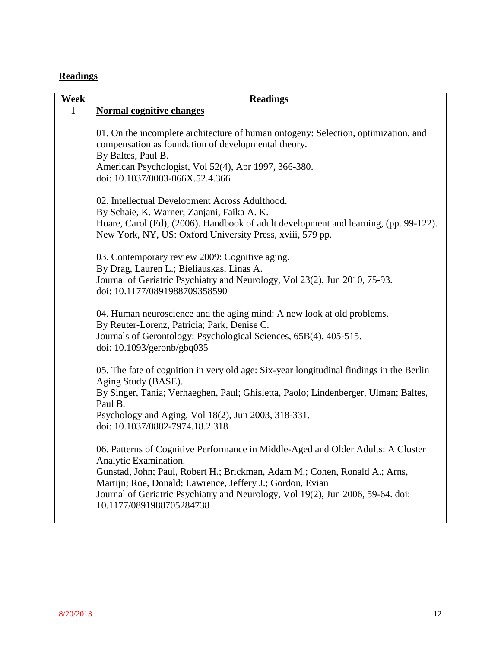# **Readings**

| Week         | <b>Readings</b>                                                                                                                                                                                                                                                                                                                                                     |
|--------------|---------------------------------------------------------------------------------------------------------------------------------------------------------------------------------------------------------------------------------------------------------------------------------------------------------------------------------------------------------------------|
| $\mathbf{1}$ | <b>Normal cognitive changes</b>                                                                                                                                                                                                                                                                                                                                     |
|              | 01. On the incomplete architecture of human ontogeny: Selection, optimization, and<br>compensation as foundation of developmental theory.<br>By Baltes, Paul B.<br>American Psychologist, Vol 52(4), Apr 1997, 366-380.<br>doi: 10.1037/0003-066X.52.4.366                                                                                                          |
|              | 02. Intellectual Development Across Adulthood.<br>By Schaie, K. Warner; Zanjani, Faika A. K.<br>Hoare, Carol (Ed), (2006). Handbook of adult development and learning, (pp. 99-122).<br>New York, NY, US: Oxford University Press, xviii, 579 pp.                                                                                                                   |
|              | 03. Contemporary review 2009: Cognitive aging.<br>By Drag, Lauren L.; Bieliauskas, Linas A.<br>Journal of Geriatric Psychiatry and Neurology, Vol 23(2), Jun 2010, 75-93.<br>doi: 10.1177/0891988709358590                                                                                                                                                          |
|              | 04. Human neuroscience and the aging mind: A new look at old problems.<br>By Reuter-Lorenz, Patricia; Park, Denise C.<br>Journals of Gerontology: Psychological Sciences, 65B(4), 405-515.<br>doi: $10.1093$ /geronb/gbq035                                                                                                                                         |
|              | 05. The fate of cognition in very old age: Six-year longitudinal findings in the Berlin<br>Aging Study (BASE).<br>By Singer, Tania; Verhaeghen, Paul; Ghisletta, Paolo; Lindenberger, Ulman; Baltes,<br>Paul B.<br>Psychology and Aging, Vol 18(2), Jun 2003, 318-331.<br>doi: 10.1037/0882-7974.18.2.318                                                           |
|              | 06. Patterns of Cognitive Performance in Middle-Aged and Older Adults: A Cluster<br>Analytic Examination.<br>Gunstad, John; Paul, Robert H.; Brickman, Adam M.; Cohen, Ronald A.; Arns,<br>Martijn; Roe, Donald; Lawrence, Jeffery J.; Gordon, Evian<br>Journal of Geriatric Psychiatry and Neurology, Vol 19(2), Jun 2006, 59-64. doi:<br>10.1177/0891988705284738 |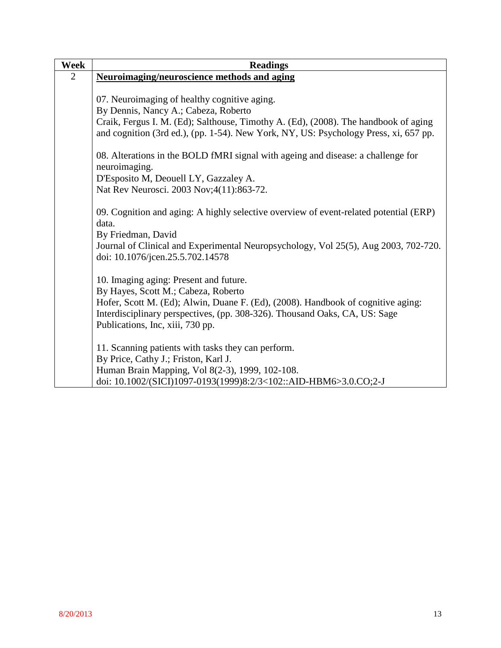| Week | <b>Readings</b>                                                                                                                                                             |
|------|-----------------------------------------------------------------------------------------------------------------------------------------------------------------------------|
| 2    | <b>Neuroimaging/neuroscience methods and aging</b>                                                                                                                          |
|      |                                                                                                                                                                             |
|      | 07. Neuroimaging of healthy cognitive aging.                                                                                                                                |
|      | By Dennis, Nancy A.; Cabeza, Roberto                                                                                                                                        |
|      | Craik, Fergus I. M. (Ed); Salthouse, Timothy A. (Ed), (2008). The handbook of aging<br>and cognition (3rd ed.), (pp. 1-54). New York, NY, US: Psychology Press, xi, 657 pp. |
|      | 08. Alterations in the BOLD fMRI signal with ageing and disease: a challenge for<br>neuroimaging.                                                                           |
|      | D'Esposito M, Deouell LY, Gazzaley A.                                                                                                                                       |
|      | Nat Rev Neurosci. 2003 Nov; 4(11): 863-72.                                                                                                                                  |
|      |                                                                                                                                                                             |
|      | 09. Cognition and aging: A highly selective overview of event-related potential (ERP)                                                                                       |
|      | data.                                                                                                                                                                       |
|      | By Friedman, David                                                                                                                                                          |
|      | Journal of Clinical and Experimental Neuropsychology, Vol 25(5), Aug 2003, 702-720.                                                                                         |
|      | doi: 10.1076/jcen.25.5.702.14578                                                                                                                                            |
|      |                                                                                                                                                                             |
|      | 10. Imaging aging: Present and future.                                                                                                                                      |
|      | By Hayes, Scott M.; Cabeza, Roberto                                                                                                                                         |
|      | Hofer, Scott M. (Ed); Alwin, Duane F. (Ed), (2008). Handbook of cognitive aging:                                                                                            |
|      | Interdisciplinary perspectives, (pp. 308-326). Thousand Oaks, CA, US: Sage<br>Publications, Inc, xiii, 730 pp.                                                              |
|      |                                                                                                                                                                             |
|      | 11. Scanning patients with tasks they can perform.                                                                                                                          |
|      | By Price, Cathy J.; Friston, Karl J.                                                                                                                                        |
|      | Human Brain Mapping, Vol 8(2-3), 1999, 102-108.                                                                                                                             |
|      | doi: 10.1002/(SICI)1097-0193(1999)8:2/3<102::AID-HBM6>3.0.CO;2-J                                                                                                            |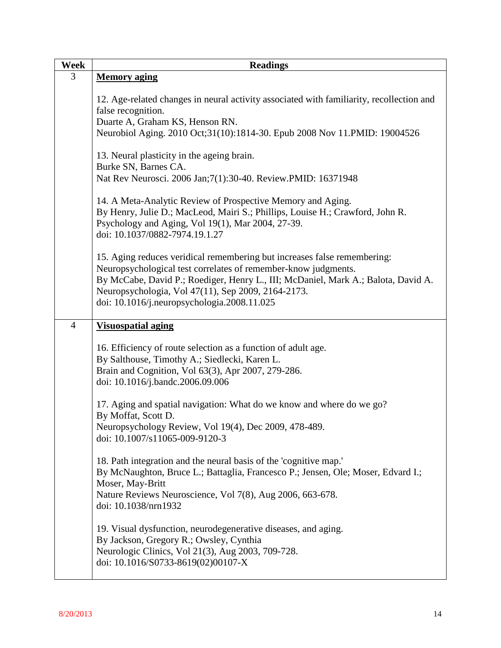| Week           | <b>Readings</b>                                                                                                                                                                                                                                                                                                                      |
|----------------|--------------------------------------------------------------------------------------------------------------------------------------------------------------------------------------------------------------------------------------------------------------------------------------------------------------------------------------|
| 3              | <b>Memory aging</b>                                                                                                                                                                                                                                                                                                                  |
|                | 12. Age-related changes in neural activity associated with familiarity, recollection and<br>false recognition.                                                                                                                                                                                                                       |
|                | Duarte A, Graham KS, Henson RN.<br>Neurobiol Aging. 2010 Oct;31(10):1814-30. Epub 2008 Nov 11.PMID: 19004526                                                                                                                                                                                                                         |
|                | 13. Neural plasticity in the ageing brain.<br>Burke SN, Barnes CA.                                                                                                                                                                                                                                                                   |
|                | Nat Rev Neurosci. 2006 Jan; 7(1): 30-40. Review. PMID: 16371948                                                                                                                                                                                                                                                                      |
|                | 14. A Meta-Analytic Review of Prospective Memory and Aging.<br>By Henry, Julie D.; MacLeod, Mairi S.; Phillips, Louise H.; Crawford, John R.<br>Psychology and Aging, Vol 19(1), Mar 2004, 27-39.<br>doi: 10.1037/0882-7974.19.1.27                                                                                                  |
|                | 15. Aging reduces veridical remembering but increases false remembering:<br>Neuropsychological test correlates of remember-know judgments.<br>By McCabe, David P.; Roediger, Henry L., III; McDaniel, Mark A.; Balota, David A.<br>Neuropsychologia, Vol 47(11), Sep 2009, 2164-2173.<br>doi: 10.1016/j.neuropsychologia.2008.11.025 |
| $\overline{4}$ | <b>Visuospatial aging</b>                                                                                                                                                                                                                                                                                                            |
|                | 16. Efficiency of route selection as a function of adult age.<br>By Salthouse, Timothy A.; Siedlecki, Karen L.<br>Brain and Cognition, Vol 63(3), Apr 2007, 279-286.<br>doi: 10.1016/j.bandc.2006.09.006                                                                                                                             |
|                | 17. Aging and spatial navigation: What do we know and where do we go?<br>By Moffat, Scott D.<br>Neuropsychology Review, Vol 19(4), Dec 2009, 478-489.                                                                                                                                                                                |
|                | doi: 10.1007/s11065-009-9120-3                                                                                                                                                                                                                                                                                                       |
|                | 18. Path integration and the neural basis of the 'cognitive map.'<br>By McNaughton, Bruce L.; Battaglia, Francesco P.; Jensen, Ole; Moser, Edvard I.;<br>Moser, May-Britt<br>Nature Reviews Neuroscience, Vol 7(8), Aug 2006, 663-678.<br>doi: 10.1038/nrn1932                                                                       |
|                | 19. Visual dysfunction, neurodegenerative diseases, and aging.<br>By Jackson, Gregory R.; Owsley, Cynthia<br>Neurologic Clinics, Vol 21(3), Aug 2003, 709-728.<br>doi: 10.1016/S0733-8619(02)00107-X                                                                                                                                 |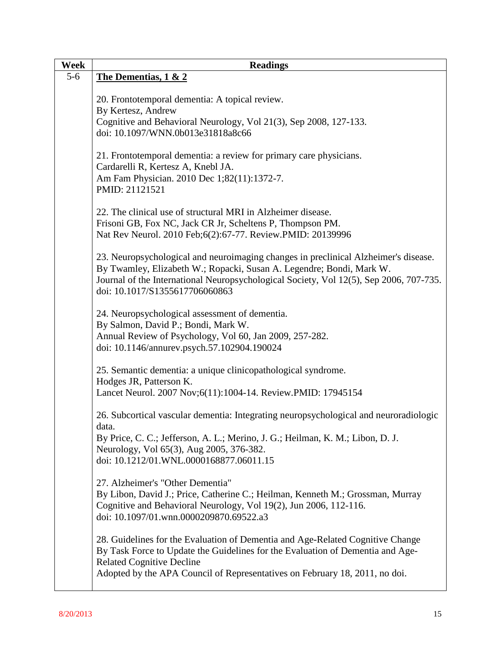| Week  | <b>Readings</b>                                                                                                                                                                                                                                       |
|-------|-------------------------------------------------------------------------------------------------------------------------------------------------------------------------------------------------------------------------------------------------------|
| $5-6$ | The Dementias, 1 & 2                                                                                                                                                                                                                                  |
|       | 20. Frontotemporal dementia: A topical review.                                                                                                                                                                                                        |
|       | By Kertesz, Andrew<br>Cognitive and Behavioral Neurology, Vol 21(3), Sep 2008, 127-133.                                                                                                                                                               |
|       | doi: 10.1097/WNN.0b013e31818a8c66                                                                                                                                                                                                                     |
|       | 21. Frontotemporal dementia: a review for primary care physicians.<br>Cardarelli R, Kertesz A, Knebl JA.                                                                                                                                              |
|       | Am Fam Physician. 2010 Dec 1;82(11):1372-7.<br>PMID: 21121521                                                                                                                                                                                         |
|       | 22. The clinical use of structural MRI in Alzheimer disease.                                                                                                                                                                                          |
|       | Frisoni GB, Fox NC, Jack CR Jr, Scheltens P, Thompson PM.                                                                                                                                                                                             |
|       | Nat Rev Neurol. 2010 Feb; 6(2): 67-77. Review. PMID: 20139996                                                                                                                                                                                         |
|       | 23. Neuropsychological and neuroimaging changes in preclinical Alzheimer's disease.<br>By Twamley, Elizabeth W.; Ropacki, Susan A. Legendre; Bondi, Mark W.<br>Journal of the International Neuropsychological Society, Vol 12(5), Sep 2006, 707-735. |
|       | doi: 10.1017/S1355617706060863                                                                                                                                                                                                                        |
|       | 24. Neuropsychological assessment of dementia.<br>By Salmon, David P.; Bondi, Mark W.                                                                                                                                                                 |
|       | Annual Review of Psychology, Vol 60, Jan 2009, 257-282.<br>doi: 10.1146/annurev.psych.57.102904.190024                                                                                                                                                |
|       | 25. Semantic dementia: a unique clinicopathological syndrome.<br>Hodges JR, Patterson K.                                                                                                                                                              |
|       | Lancet Neurol. 2007 Nov;6(11):1004-14. Review.PMID: 17945154                                                                                                                                                                                          |
|       | 26. Subcortical vascular dementia: Integrating neuropsychological and neuroradiologic<br>data.                                                                                                                                                        |
|       | By Price, C. C.; Jefferson, A. L.; Merino, J. G.; Heilman, K. M.; Libon, D. J.                                                                                                                                                                        |
|       | Neurology, Vol 65(3), Aug 2005, 376-382.<br>doi: 10.1212/01.WNL.0000168877.06011.15                                                                                                                                                                   |
|       | 27. Alzheimer's "Other Dementia"                                                                                                                                                                                                                      |
|       | By Libon, David J.; Price, Catherine C.; Heilman, Kenneth M.; Grossman, Murray<br>Cognitive and Behavioral Neurology, Vol 19(2), Jun 2006, 112-116.<br>doi: 10.1097/01.wnn.0000209870.69522.a3                                                        |
|       | 28. Guidelines for the Evaluation of Dementia and Age-Related Cognitive Change<br>By Task Force to Update the Guidelines for the Evaluation of Dementia and Age-<br><b>Related Cognitive Decline</b>                                                  |
|       | Adopted by the APA Council of Representatives on February 18, 2011, no doi.                                                                                                                                                                           |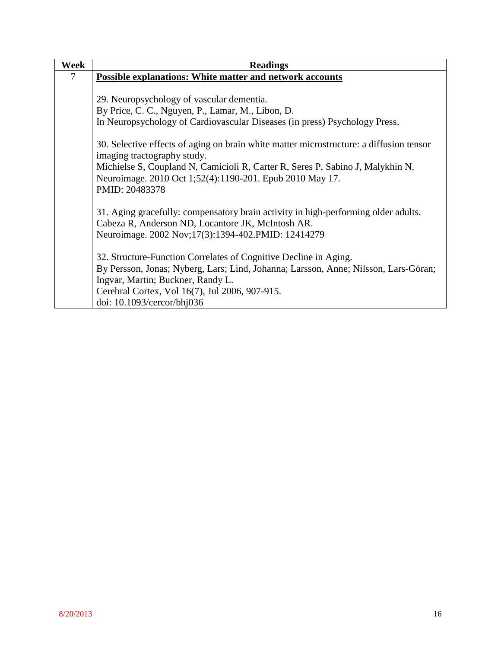| Week | <b>Readings</b>                                                                                                                            |
|------|--------------------------------------------------------------------------------------------------------------------------------------------|
| 7    | <b>Possible explanations: White matter and network accounts</b>                                                                            |
|      |                                                                                                                                            |
|      | 29. Neuropsychology of vascular dementia.                                                                                                  |
|      | By Price, C. C., Nguyen, P., Lamar, M., Libon, D.                                                                                          |
|      | In Neuropsychology of Cardiovascular Diseases (in press) Psychology Press.                                                                 |
|      | 30. Selective effects of aging on brain white matter microstructure: a diffusion tensor<br>imaging tractography study.                     |
|      | Michielse S, Coupland N, Camicioli R, Carter R, Seres P, Sabino J, Malykhin N.<br>Neuroimage. 2010 Oct 1;52(4):1190-201. Epub 2010 May 17. |
|      | PMID: 20483378                                                                                                                             |
|      | 31. Aging gracefully: compensatory brain activity in high-performing older adults.                                                         |
|      | Cabeza R, Anderson ND, Locantore JK, McIntosh AR.                                                                                          |
|      | Neuroimage. 2002 Nov;17(3):1394-402.PMID: 12414279                                                                                         |
|      | 32. Structure-Function Correlates of Cognitive Decline in Aging.                                                                           |
|      | By Persson, Jonas; Nyberg, Lars; Lind, Johanna; Larsson, Anne; Nilsson, Lars-Göran;                                                        |
|      | Ingvar, Martin; Buckner, Randy L.                                                                                                          |
|      | Cerebral Cortex, Vol 16(7), Jul 2006, 907-915.                                                                                             |
|      | doi: 10.1093/cercor/bhj036                                                                                                                 |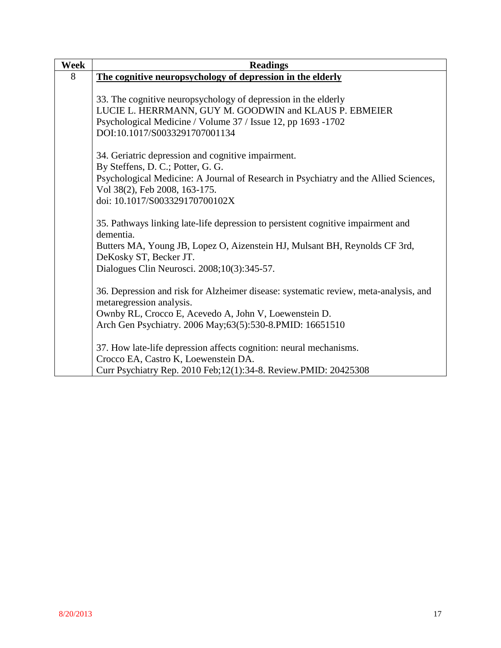| Week | <b>Readings</b>                                                                               |
|------|-----------------------------------------------------------------------------------------------|
| 8    | The cognitive neuropsychology of depression in the elderly                                    |
|      |                                                                                               |
|      | 33. The cognitive neuropsychology of depression in the elderly                                |
|      | LUCIE L. HERRMANN, GUY M. GOODWIN and KLAUS P. EBMEIER                                        |
|      | Psychological Medicine / Volume 37 / Issue 12, pp 1693 -1702                                  |
|      | DOI:10.1017/S0033291707001134                                                                 |
|      | 34. Geriatric depression and cognitive impairment.                                            |
|      | By Steffens, D. C.; Potter, G. G.                                                             |
|      | Psychological Medicine: A Journal of Research in Psychiatry and the Allied Sciences,          |
|      | Vol 38(2), Feb 2008, 163-175.                                                                 |
|      | doi: 10.1017/S003329170700102X                                                                |
|      |                                                                                               |
|      | 35. Pathways linking late-life depression to persistent cognitive impairment and<br>dementia. |
|      | Butters MA, Young JB, Lopez O, Aizenstein HJ, Mulsant BH, Reynolds CF 3rd,                    |
|      | DeKosky ST, Becker JT.                                                                        |
|      | Dialogues Clin Neurosci. 2008;10(3):345-57.                                                   |
|      |                                                                                               |
|      | 36. Depression and risk for Alzheimer disease: systematic review, meta-analysis, and          |
|      | metaregression analysis.                                                                      |
|      | Ownby RL, Crocco E, Acevedo A, John V, Loewenstein D.                                         |
|      | Arch Gen Psychiatry. 2006 May;63(5):530-8. PMID: 16651510                                     |
|      |                                                                                               |
|      | 37. How late-life depression affects cognition: neural mechanisms.                            |
|      | Crocco EA, Castro K, Loewenstein DA.                                                          |
|      | Curr Psychiatry Rep. 2010 Feb; 12(1): 34-8. Review. PMID: 20425308                            |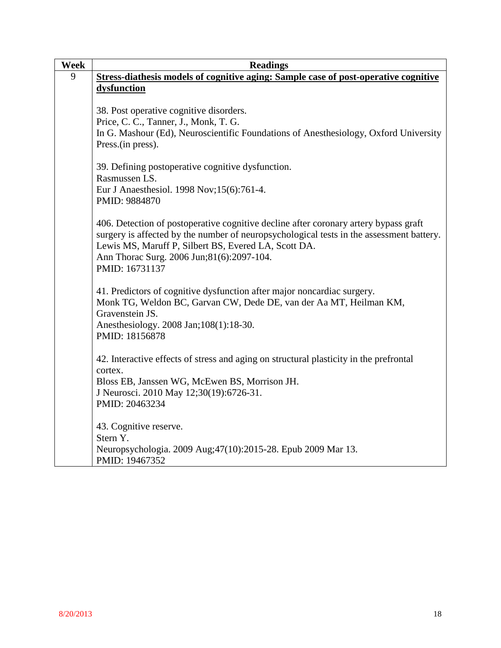| <b>Week</b> | <b>Readings</b>                                                                                                                                                                  |
|-------------|----------------------------------------------------------------------------------------------------------------------------------------------------------------------------------|
| 9           | Stress-diathesis models of cognitive aging: Sample case of post-operative cognitive                                                                                              |
|             | dysfunction                                                                                                                                                                      |
|             |                                                                                                                                                                                  |
|             | 38. Post operative cognitive disorders.                                                                                                                                          |
|             | Price, C. C., Tanner, J., Monk, T. G.                                                                                                                                            |
|             | In G. Mashour (Ed), Neuroscientific Foundations of Anesthesiology, Oxford University                                                                                             |
|             | Press. (in press).                                                                                                                                                               |
|             | 39. Defining postoperative cognitive dysfunction.                                                                                                                                |
|             | Rasmussen LS.                                                                                                                                                                    |
|             | Eur J Anaesthesiol. 1998 Nov; 15(6):761-4.                                                                                                                                       |
|             | PMID: 9884870                                                                                                                                                                    |
|             |                                                                                                                                                                                  |
|             | 406. Detection of postoperative cognitive decline after coronary artery bypass graft<br>surgery is affected by the number of neuropsychological tests in the assessment battery. |
|             | Lewis MS, Maruff P, Silbert BS, Evered LA, Scott DA.                                                                                                                             |
|             | Ann Thorac Surg. 2006 Jun;81(6):2097-104.                                                                                                                                        |
|             | PMID: 16731137                                                                                                                                                                   |
|             |                                                                                                                                                                                  |
|             | 41. Predictors of cognitive dysfunction after major noncardiac surgery.                                                                                                          |
|             | Monk TG, Weldon BC, Garvan CW, Dede DE, van der Aa MT, Heilman KM,                                                                                                               |
|             | Gravenstein JS.                                                                                                                                                                  |
|             | Anesthesiology. 2008 Jan; 108(1): 18-30.                                                                                                                                         |
|             | PMID: 18156878                                                                                                                                                                   |
|             |                                                                                                                                                                                  |
|             | 42. Interactive effects of stress and aging on structural plasticity in the prefrontal                                                                                           |
|             | cortex.                                                                                                                                                                          |
|             | Bloss EB, Janssen WG, McEwen BS, Morrison JH.                                                                                                                                    |
|             | J Neurosci. 2010 May 12;30(19):6726-31.                                                                                                                                          |
|             | PMID: 20463234                                                                                                                                                                   |
|             | 43. Cognitive reserve.                                                                                                                                                           |
|             | Stern Y.                                                                                                                                                                         |
|             | Neuropsychologia. 2009 Aug; 47(10): 2015-28. Epub 2009 Mar 13.                                                                                                                   |
|             | PMID: 19467352                                                                                                                                                                   |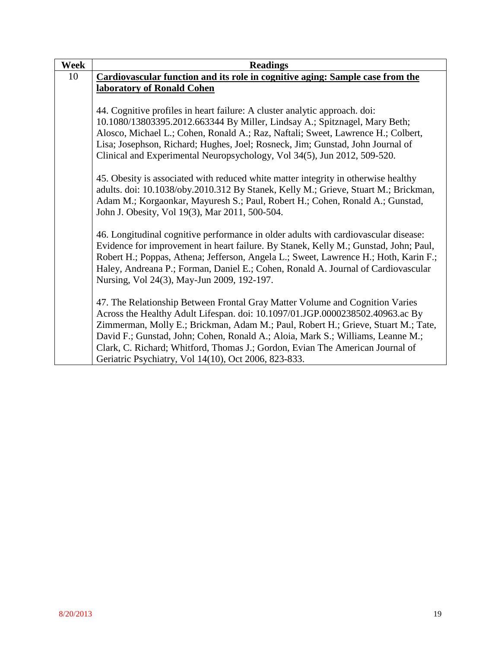| <b>Week</b> | <b>Readings</b>                                                                      |
|-------------|--------------------------------------------------------------------------------------|
| 10          | Cardiovascular function and its role in cognitive aging: Sample case from the        |
|             | laboratory of Ronald Cohen                                                           |
|             |                                                                                      |
|             | 44. Cognitive profiles in heart failure: A cluster analytic approach. doi:           |
|             | 10.1080/13803395.2012.663344 By Miller, Lindsay A.; Spitznagel, Mary Beth;           |
|             | Alosco, Michael L.; Cohen, Ronald A.; Raz, Naftali; Sweet, Lawrence H.; Colbert,     |
|             | Lisa; Josephson, Richard; Hughes, Joel; Rosneck, Jim; Gunstad, John Journal of       |
|             | Clinical and Experimental Neuropsychology, Vol 34(5), Jun 2012, 509-520.             |
|             |                                                                                      |
|             | 45. Obesity is associated with reduced white matter integrity in otherwise healthy   |
|             | adults. doi: 10.1038/oby.2010.312 By Stanek, Kelly M.; Grieve, Stuart M.; Brickman,  |
|             | Adam M.; Korgaonkar, Mayuresh S.; Paul, Robert H.; Cohen, Ronald A.; Gunstad,        |
|             | John J. Obesity, Vol 19(3), Mar 2011, 500-504.                                       |
|             |                                                                                      |
|             | 46. Longitudinal cognitive performance in older adults with cardiovascular disease:  |
|             | Evidence for improvement in heart failure. By Stanek, Kelly M.; Gunstad, John; Paul, |
|             | Robert H.; Poppas, Athena; Jefferson, Angela L.; Sweet, Lawrence H.; Hoth, Karin F.; |
|             | Haley, Andreana P.; Forman, Daniel E.; Cohen, Ronald A. Journal of Cardiovascular    |
|             | Nursing, Vol 24(3), May-Jun 2009, 192-197.                                           |
|             |                                                                                      |
|             | 47. The Relationship Between Frontal Gray Matter Volume and Cognition Varies         |
|             | Across the Healthy Adult Lifespan. doi: 10.1097/01.JGP.0000238502.40963.ac By        |
|             | Zimmerman, Molly E.; Brickman, Adam M.; Paul, Robert H.; Grieve, Stuart M.; Tate,    |
|             | David F.; Gunstad, John; Cohen, Ronald A.; Aloia, Mark S.; Williams, Leanne M.;      |
|             | Clark, C. Richard; Whitford, Thomas J.; Gordon, Evian The American Journal of        |
|             | Geriatric Psychiatry, Vol 14(10), Oct 2006, 823-833.                                 |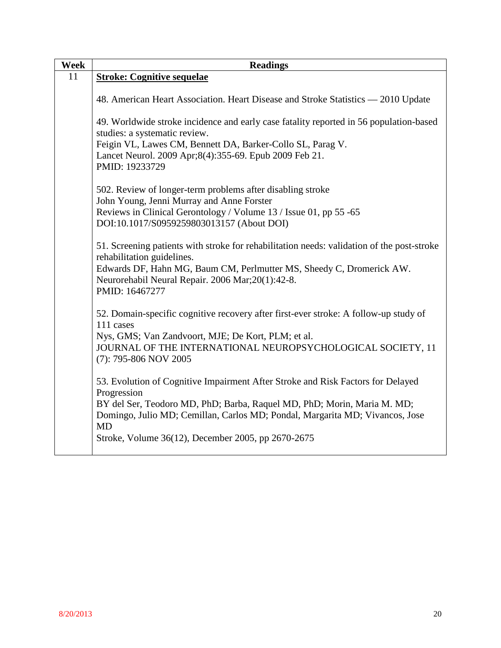| Week | <b>Readings</b>                                                                                                                                                                                                                                                                                                              |
|------|------------------------------------------------------------------------------------------------------------------------------------------------------------------------------------------------------------------------------------------------------------------------------------------------------------------------------|
| 11   | <b>Stroke: Cognitive sequelae</b>                                                                                                                                                                                                                                                                                            |
|      | 48. American Heart Association. Heart Disease and Stroke Statistics — 2010 Update                                                                                                                                                                                                                                            |
|      | 49. Worldwide stroke incidence and early case fatality reported in 56 population-based<br>studies: a systematic review.<br>Feigin VL, Lawes CM, Bennett DA, Barker-Collo SL, Parag V.<br>Lancet Neurol. 2009 Apr;8(4):355-69. Epub 2009 Feb 21.<br>PMID: 19233729                                                            |
|      | 502. Review of longer-term problems after disabling stroke<br>John Young, Jenni Murray and Anne Forster<br>Reviews in Clinical Gerontology / Volume 13 / Issue 01, pp 55 -65<br>DOI:10.1017/S0959259803013157 (About DOI)                                                                                                    |
|      | 51. Screening patients with stroke for rehabilitation needs: validation of the post-stroke<br>rehabilitation guidelines.<br>Edwards DF, Hahn MG, Baum CM, Perlmutter MS, Sheedy C, Dromerick AW.<br>Neurorehabil Neural Repair. 2006 Mar;20(1):42-8.<br>PMID: 16467277                                                       |
|      | 52. Domain-specific cognitive recovery after first-ever stroke: A follow-up study of<br>111 cases<br>Nys, GMS; Van Zandvoort, MJE; De Kort, PLM; et al.<br>JOURNAL OF THE INTERNATIONAL NEUROPSYCHOLOGICAL SOCIETY, 11<br>$(7)$ : 795-806 NOV 2005                                                                           |
|      | 53. Evolution of Cognitive Impairment After Stroke and Risk Factors for Delayed<br>Progression<br>BY del Ser, Teodoro MD, PhD; Barba, Raquel MD, PhD; Morin, Maria M. MD;<br>Domingo, Julio MD; Cemillan, Carlos MD; Pondal, Margarita MD; Vivancos, Jose<br><b>MD</b><br>Stroke, Volume 36(12), December 2005, pp 2670-2675 |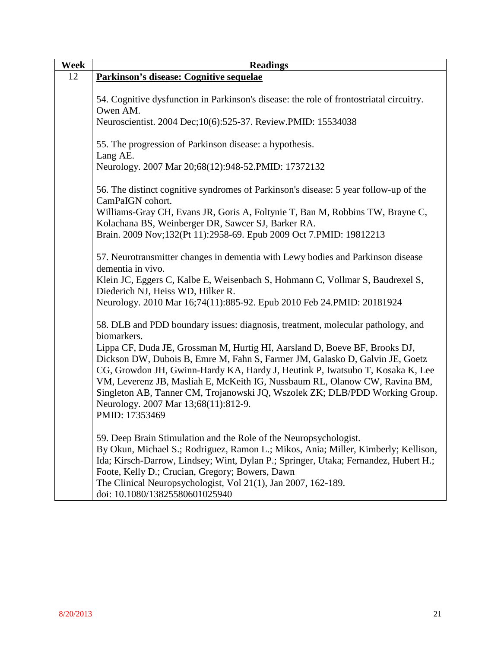| Week | <b>Readings</b>                                                                                   |
|------|---------------------------------------------------------------------------------------------------|
| 12   | Parkinson's disease: Cognitive sequelae                                                           |
|      |                                                                                                   |
|      | 54. Cognitive dysfunction in Parkinson's disease: the role of frontostriatal circuitry.           |
|      | Owen AM.                                                                                          |
|      | Neuroscientist. 2004 Dec; 10(6): 525-37. Review. PMID: 15534038                                   |
|      |                                                                                                   |
|      | 55. The progression of Parkinson disease: a hypothesis.                                           |
|      | Lang AE.<br>Neurology. 2007 Mar 20;68(12):948-52. PMID: 17372132                                  |
|      |                                                                                                   |
|      | 56. The distinct cognitive syndromes of Parkinson's disease: 5 year follow-up of the              |
|      | CamPaIGN cohort.<br>Williams-Gray CH, Evans JR, Goris A, Foltynie T, Ban M, Robbins TW, Brayne C, |
|      | Kolachana BS, Weinberger DR, Sawcer SJ, Barker RA.                                                |
|      | Brain. 2009 Nov;132(Pt 11):2958-69. Epub 2009 Oct 7.PMID: 19812213                                |
|      |                                                                                                   |
|      | 57. Neurotransmitter changes in dementia with Lewy bodies and Parkinson disease                   |
|      | dementia in vivo.                                                                                 |
|      | Klein JC, Eggers C, Kalbe E, Weisenbach S, Hohmann C, Vollmar S, Baudrexel S,                     |
|      | Diederich NJ, Heiss WD, Hilker R.                                                                 |
|      | Neurology. 2010 Mar 16;74(11):885-92. Epub 2010 Feb 24. PMID: 20181924                            |
|      | 58. DLB and PDD boundary issues: diagnosis, treatment, molecular pathology, and                   |
|      | biomarkers.                                                                                       |
|      | Lippa CF, Duda JE, Grossman M, Hurtig HI, Aarsland D, Boeve BF, Brooks DJ,                        |
|      | Dickson DW, Dubois B, Emre M, Fahn S, Farmer JM, Galasko D, Galvin JE, Goetz                      |
|      | CG, Growdon JH, Gwinn-Hardy KA, Hardy J, Heutink P, Iwatsubo T, Kosaka K, Lee                     |
|      | VM, Leverenz JB, Masliah E, McKeith IG, Nussbaum RL, Olanow CW, Ravina BM,                        |
|      | Singleton AB, Tanner CM, Trojanowski JQ, Wszolek ZK; DLB/PDD Working Group.                       |
|      | Neurology. 2007 Mar 13;68(11):812-9.                                                              |
|      | PMID: 17353469                                                                                    |
|      | 59. Deep Brain Stimulation and the Role of the Neuropsychologist.                                 |
|      | By Okun, Michael S.; Rodriguez, Ramon L.; Mikos, Ania; Miller, Kimberly; Kellison,                |
|      | Ida; Kirsch-Darrow, Lindsey; Wint, Dylan P.; Springer, Utaka; Fernandez, Hubert H.;               |
|      | Foote, Kelly D.; Crucian, Gregory; Bowers, Dawn                                                   |
|      | The Clinical Neuropsychologist, Vol 21(1), Jan 2007, 162-189.                                     |
|      | doi: 10.1080/13825580601025940                                                                    |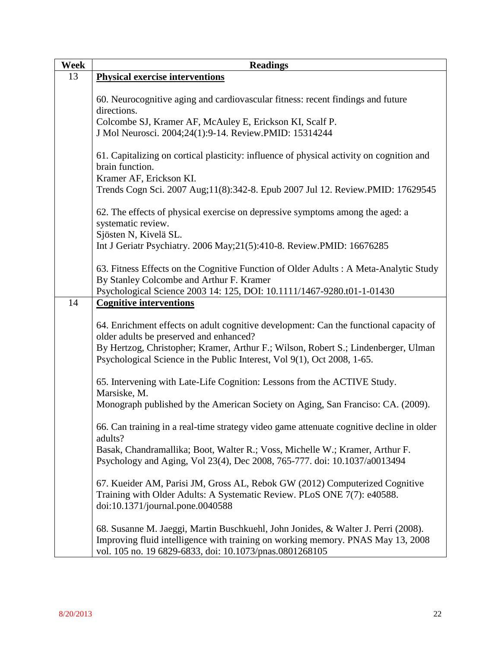| Week | <b>Readings</b>                                                                          |
|------|------------------------------------------------------------------------------------------|
| 13   | <b>Physical exercise interventions</b>                                                   |
|      |                                                                                          |
|      | 60. Neurocognitive aging and cardiovascular fitness: recent findings and future          |
|      | directions.                                                                              |
|      | Colcombe SJ, Kramer AF, McAuley E, Erickson KI, Scalf P.                                 |
|      | J Mol Neurosci. 2004;24(1):9-14. Review.PMID: 15314244                                   |
|      | 61. Capitalizing on cortical plasticity: influence of physical activity on cognition and |
|      | brain function.                                                                          |
|      | Kramer AF, Erickson KI.                                                                  |
|      | Trends Cogn Sci. 2007 Aug;11(8):342-8. Epub 2007 Jul 12. Review.PMID: 17629545           |
|      |                                                                                          |
|      | 62. The effects of physical exercise on depressive symptoms among the aged: a            |
|      | systematic review.                                                                       |
|      | Sjösten N, Kivelä SL.                                                                    |
|      | Int J Geriatr Psychiatry. 2006 May;21(5):410-8. Review.PMID: 16676285                    |
|      | 63. Fitness Effects on the Cognitive Function of Older Adults: A Meta-Analytic Study     |
|      | By Stanley Colcombe and Arthur F. Kramer                                                 |
|      | Psychological Science 2003 14: 125, DOI: 10.1111/1467-9280.t01-1-01430                   |
| 14   | <b>Cognitive interventions</b>                                                           |
|      |                                                                                          |
|      | 64. Enrichment effects on adult cognitive development: Can the functional capacity of    |
|      | older adults be preserved and enhanced?                                                  |
|      | By Hertzog, Christopher; Kramer, Arthur F.; Wilson, Robert S.; Lindenberger, Ulman       |
|      | Psychological Science in the Public Interest, Vol 9(1), Oct 2008, 1-65.                  |
|      | 65. Intervening with Late-Life Cognition: Lessons from the ACTIVE Study.                 |
|      | Marsiske, M.                                                                             |
|      | Monograph published by the American Society on Aging, San Franciso: CA. (2009).          |
|      |                                                                                          |
|      | 66. Can training in a real-time strategy video game attenuate cognitive decline in older |
|      | adults?                                                                                  |
|      | Basak, Chandramallika; Boot, Walter R.; Voss, Michelle W.; Kramer, Arthur F.             |
|      | Psychology and Aging, Vol 23(4), Dec 2008, 765-777. doi: 10.1037/a0013494                |
|      | 67. Kueider AM, Parisi JM, Gross AL, Rebok GW (2012) Computerized Cognitive              |
|      | Training with Older Adults: A Systematic Review. PLoS ONE 7(7): e40588.                  |
|      | doi:10.1371/journal.pone.0040588                                                         |
|      |                                                                                          |
|      | 68. Susanne M. Jaeggi, Martin Buschkuehl, John Jonides, & Walter J. Perri (2008).        |
|      | Improving fluid intelligence with training on working memory. PNAS May 13, 2008          |
|      | vol. 105 no. 19 6829-6833, doi: 10.1073/pnas.0801268105                                  |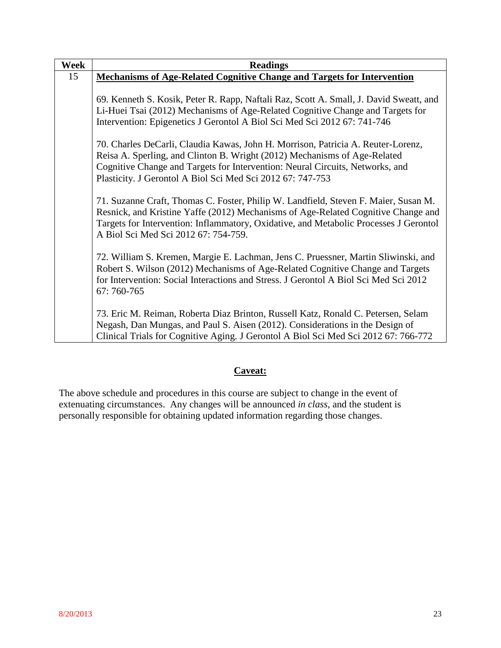| Week | <b>Readings</b>                                                                                                                                                                                                                                                                                              |
|------|--------------------------------------------------------------------------------------------------------------------------------------------------------------------------------------------------------------------------------------------------------------------------------------------------------------|
| 15   | <b>Mechanisms of Age-Related Cognitive Change and Targets for Intervention</b>                                                                                                                                                                                                                               |
|      |                                                                                                                                                                                                                                                                                                              |
|      | 69. Kenneth S. Kosik, Peter R. Rapp, Naftali Raz, Scott A. Small, J. David Sweatt, and                                                                                                                                                                                                                       |
|      | Li-Huei Tsai (2012) Mechanisms of Age-Related Cognitive Change and Targets for                                                                                                                                                                                                                               |
|      | Intervention: Epigenetics J Gerontol A Biol Sci Med Sci 2012 67: 741-746                                                                                                                                                                                                                                     |
|      | 70. Charles DeCarli, Claudia Kawas, John H. Morrison, Patricia A. Reuter-Lorenz,<br>Reisa A. Sperling, and Clinton B. Wright (2012) Mechanisms of Age-Related<br>Cognitive Change and Targets for Intervention: Neural Circuits, Networks, and<br>Plasticity. J Gerontol A Biol Sci Med Sci 2012 67: 747-753 |
|      | 71. Suzanne Craft, Thomas C. Foster, Philip W. Landfield, Steven F. Maier, Susan M.<br>Resnick, and Kristine Yaffe (2012) Mechanisms of Age-Related Cognitive Change and<br>Targets for Intervention: Inflammatory, Oxidative, and Metabolic Processes J Gerontol<br>A Biol Sci Med Sci 2012 67: 754-759.    |
|      | 72. William S. Kremen, Margie E. Lachman, Jens C. Pruessner, Martin Sliwinski, and<br>Robert S. Wilson (2012) Mechanisms of Age-Related Cognitive Change and Targets<br>for Intervention: Social Interactions and Stress. J Gerontol A Biol Sci Med Sci 2012<br>67: 760-765                                  |
|      | 73. Eric M. Reiman, Roberta Diaz Brinton, Russell Katz, Ronald C. Petersen, Selam<br>Negash, Dan Mungas, and Paul S. Aisen (2012). Considerations in the Design of<br>Clinical Trials for Cognitive Aging. J Gerontol A Biol Sci Med Sci 2012 67: 766-772                                                    |

# **Caveat:**

The above schedule and procedures in this course are subject to change in the event of extenuating circumstances. Any changes will be announced *in class*, and the student is personally responsible for obtaining updated information regarding those changes.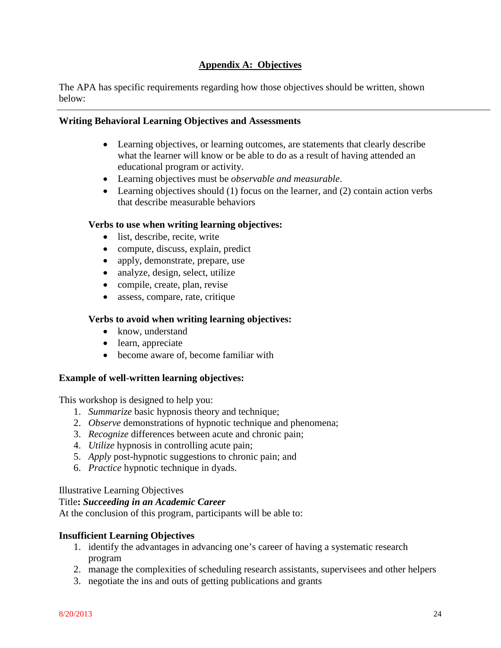## **Appendix A: Objectives**

The APA has specific requirements regarding how those objectives should be written, shown below:

#### **Writing Behavioral Learning Objectives and Assessments**

- Learning objectives, or learning outcomes, are statements that clearly describe what the learner will know or be able to do as a result of having attended an educational program or activity.
- Learning objectives must be *observable and measurable*.
- Learning objectives should  $(1)$  focus on the learner, and  $(2)$  contain action verbs that describe measurable behaviors

#### **Verbs to use when writing learning objectives:**

- list, describe, recite, write
- compute, discuss, explain, predict
- apply, demonstrate, prepare, use
- analyze, design, select, utilize
- compile, create, plan, revise
- assess, compare, rate, critique

#### **Verbs to avoid when writing learning objectives:**

- know, understand
- learn, appreciate
- become aware of, become familiar with

#### **Example of well-written learning objectives:**

This workshop is designed to help you:

- 1. *Summarize* basic hypnosis theory and technique;
- 2. *Observe* demonstrations of hypnotic technique and phenomena;
- 3. *Recognize* differences between acute and chronic pain;
- 4. *Utilize* hypnosis in controlling acute pain;
- 5. *Apply* post-hypnotic suggestions to chronic pain; and
- 6. *Practice* hypnotic technique in dyads.

#### Illustrative Learning Objectives

#### Title**:** *Succeeding in an Academic Career*

At the conclusion of this program, participants will be able to:

#### **Insufficient Learning Objectives**

- 1. identify the advantages in advancing one's career of having a systematic research program
- 2. manage the complexities of scheduling research assistants, supervisees and other helpers
- 3. negotiate the ins and outs of getting publications and grants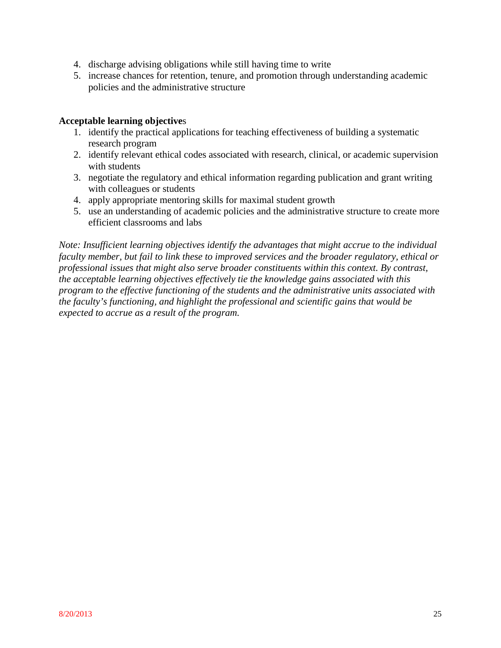- 4. discharge advising obligations while still having time to write
- 5. increase chances for retention, tenure, and promotion through understanding academic policies and the administrative structure

#### **Acceptable learning objective**s

- 1. identify the practical applications for teaching effectiveness of building a systematic research program
- 2. identify relevant ethical codes associated with research, clinical, or academic supervision with students
- 3. negotiate the regulatory and ethical information regarding publication and grant writing with colleagues or students
- 4. apply appropriate mentoring skills for maximal student growth
- 5. use an understanding of academic policies and the administrative structure to create more efficient classrooms and labs

*Note: Insufficient learning objectives identify the advantages that might accrue to the individual faculty member, but fail to link these to improved services and the broader regulatory, ethical or professional issues that might also serve broader constituents within this context. By contrast, the acceptable learning objectives effectively tie the knowledge gains associated with this program to the effective functioning of the students and the administrative units associated with the faculty's functioning, and highlight the professional and scientific gains that would be expected to accrue as a result of the program.*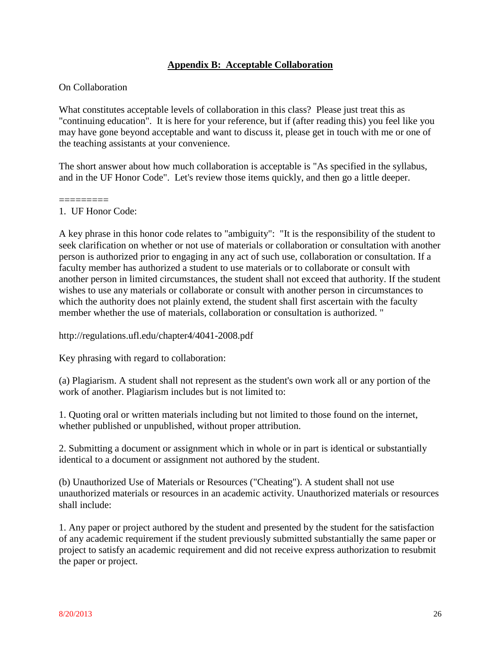### **Appendix B: Acceptable Collaboration**

#### On Collaboration

What constitutes acceptable levels of collaboration in this class? Please just treat this as "continuing education". It is here for your reference, but if (after reading this) you feel like you may have gone beyond acceptable and want to discuss it, please get in touch with me or one of the teaching assistants at your convenience.

The short answer about how much collaboration is acceptable is "As specified in the syllabus, and in the UF Honor Code". Let's review those items quickly, and then go a little deeper.

#### ========= 1. UF Honor Code:

A key phrase in this honor code relates to "ambiguity": "It is the responsibility of the student to seek clarification on whether or not use of materials or collaboration or consultation with another person is authorized prior to engaging in any act of such use, collaboration or consultation. If a faculty member has authorized a student to use materials or to collaborate or consult with another person in limited circumstances, the student shall not exceed that authority. If the student wishes to use any materials or collaborate or consult with another person in circumstances to which the authority does not plainly extend, the student shall first ascertain with the faculty member whether the use of materials, collaboration or consultation is authorized. "

http://regulations.ufl.edu/chapter4/4041-2008.pdf

Key phrasing with regard to collaboration:

(a) Plagiarism. A student shall not represent as the student's own work all or any portion of the work of another. Plagiarism includes but is not limited to:

1. Quoting oral or written materials including but not limited to those found on the internet, whether published or unpublished, without proper attribution.

2. Submitting a document or assignment which in whole or in part is identical or substantially identical to a document or assignment not authored by the student.

(b) Unauthorized Use of Materials or Resources ("Cheating"). A student shall not use unauthorized materials or resources in an academic activity. Unauthorized materials or resources shall include:

1. Any paper or project authored by the student and presented by the student for the satisfaction of any academic requirement if the student previously submitted substantially the same paper or project to satisfy an academic requirement and did not receive express authorization to resubmit the paper or project.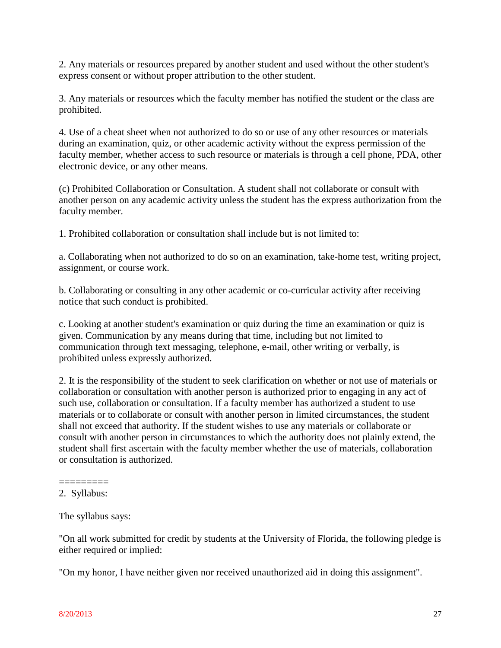2. Any materials or resources prepared by another student and used without the other student's express consent or without proper attribution to the other student.

3. Any materials or resources which the faculty member has notified the student or the class are prohibited.

4. Use of a cheat sheet when not authorized to do so or use of any other resources or materials during an examination, quiz, or other academic activity without the express permission of the faculty member, whether access to such resource or materials is through a cell phone, PDA, other electronic device, or any other means.

(c) Prohibited Collaboration or Consultation. A student shall not collaborate or consult with another person on any academic activity unless the student has the express authorization from the faculty member.

1. Prohibited collaboration or consultation shall include but is not limited to:

a. Collaborating when not authorized to do so on an examination, take-home test, writing project, assignment, or course work.

b. Collaborating or consulting in any other academic or co-curricular activity after receiving notice that such conduct is prohibited.

c. Looking at another student's examination or quiz during the time an examination or quiz is given. Communication by any means during that time, including but not limited to communication through text messaging, telephone, e-mail, other writing or verbally, is prohibited unless expressly authorized.

2. It is the responsibility of the student to seek clarification on whether or not use of materials or collaboration or consultation with another person is authorized prior to engaging in any act of such use, collaboration or consultation. If a faculty member has authorized a student to use materials or to collaborate or consult with another person in limited circumstances, the student shall not exceed that authority. If the student wishes to use any materials or collaborate or consult with another person in circumstances to which the authority does not plainly extend, the student shall first ascertain with the faculty member whether the use of materials, collaboration or consultation is authorized.

#### ========= 2. Syllabus:

The syllabus says:

"On all work submitted for credit by students at the University of Florida, the following pledge is either required or implied:

"On my honor, I have neither given nor received unauthorized aid in doing this assignment".